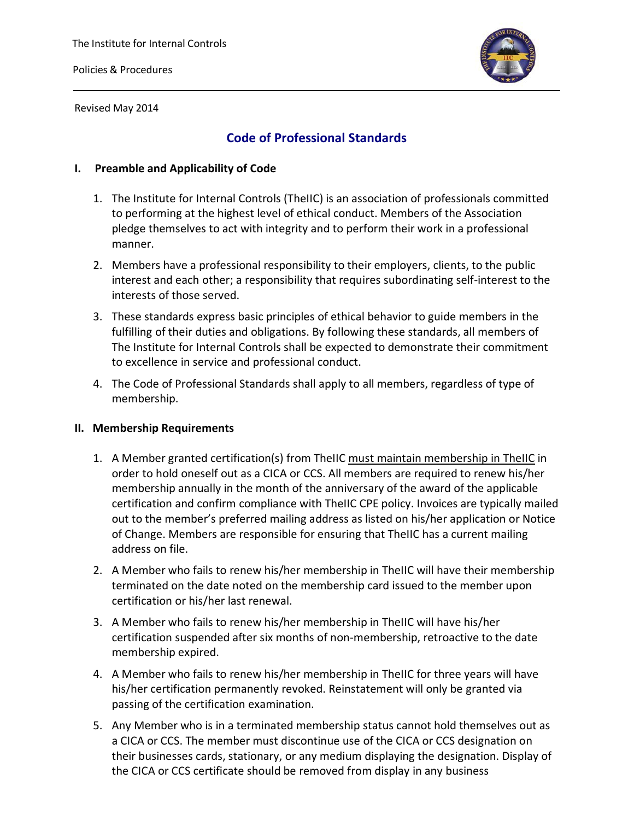

Revised May 2014

# **Code of Professional Standards**

# **I. Preamble and Applicability of Code**

- 1. The Institute for Internal Controls (TheIIC) is an association of professionals committed to performing at the highest level of ethical conduct. Members of the Association pledge themselves to act with integrity and to perform their work in a professional manner.
- 2. Members have a professional responsibility to their employers, clients, to the public interest and each other; a responsibility that requires subordinating self-interest to the interests of those served.
- 3. These standards express basic principles of ethical behavior to guide members in the fulfilling of their duties and obligations. By following these standards, all members of The Institute for Internal Controls shall be expected to demonstrate their commitment to excellence in service and professional conduct.
- 4. The Code of Professional Standards shall apply to all members, regardless of type of membership.

## **II. Membership Requirements**

- 1. A Member granted certification(s) from TheIIC must maintain membership in TheIIC in order to hold oneself out as a CICA or CCS. All members are required to renew his/her membership annually in the month of the anniversary of the award of the applicable certification and confirm compliance with TheIIC CPE policy. Invoices are typically mailed out to the member's preferred mailing address as listed on his/her application or Notice of Change. Members are responsible for ensuring that TheIIC has a current mailing address on file.
- 2. A Member who fails to renew his/her membership in TheIIC will have their membership terminated on the date noted on the membership card issued to the member upon certification or his/her last renewal.
- 3. A Member who fails to renew his/her membership in TheIIC will have his/her certification suspended after six months of non-membership, retroactive to the date membership expired.
- 4. A Member who fails to renew his/her membership in TheIIC for three years will have his/her certification permanently revoked. Reinstatement will only be granted via passing of the certification examination.
- 5. Any Member who is in a terminated membership status cannot hold themselves out as a CICA or CCS. The member must discontinue use of the CICA or CCS designation on their businesses cards, stationary, or any medium displaying the designation. Display of the CICA or CCS certificate should be removed from display in any business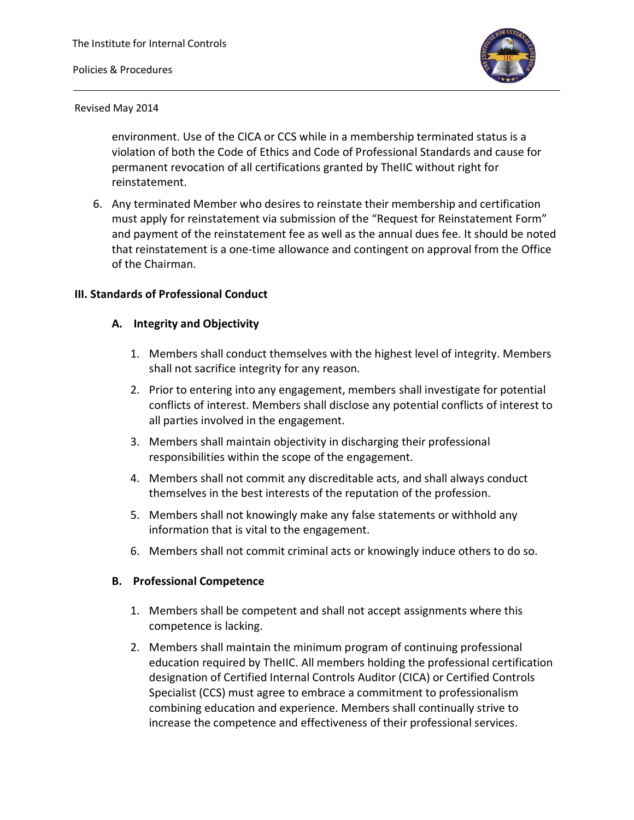#### Policies & Procedures



#### Revised May 2014

environment. Use of the CICA or CCS while in a membership terminated status is a violation of both the Code of Ethics and Code of Professional Standards and cause for permanent revocation of all certifications granted by TheIIC without right for reinstatement.

6. Any terminated Member who desires to reinstate their membership and certification must apply for reinstatement via submission of the "Request for Reinstatement Form" and payment of the reinstatement fee as well as the annual dues fee. It should be noted that reinstatement is a one-time allowance and contingent on approval from the Office of the Chairman.

#### **III. Standards of Professional Conduct**

#### **A. Integrity and Objectivity**

- 1. Members shall conduct themselves with the highest level of integrity. Members shall not sacrifice integrity for any reason.
- 2. Prior to entering into any engagement, members shall investigate for potential conflicts of interest. Members shall disclose any potential conflicts of interest to all parties involved in the engagement.
- 3. Members shall maintain objectivity in discharging their professional responsibilities within the scope of the engagement.
- 4. Members shall not commit any discreditable acts, and shall always conduct themselves in the best interests of the reputation of the profession.
- 5. Members shall not knowingly make any false statements or withhold any information that is vital to the engagement.
- 6. Members shall not commit criminal acts or knowingly induce others to do so.

#### **B. Professional Competence**

- 1. Members shall be competent and shall not accept assignments where this competence is lacking.
- 2. Members shall maintain the minimum program of continuing professional education required by TheIIC. All members holding the professional certification designation of Certified Internal Controls Auditor (CICA) or Certified Controls Specialist (CCS) must agree to embrace a commitment to professionalism combining education and experience. Members shall continually strive to increase the competence and effectiveness of their professional services.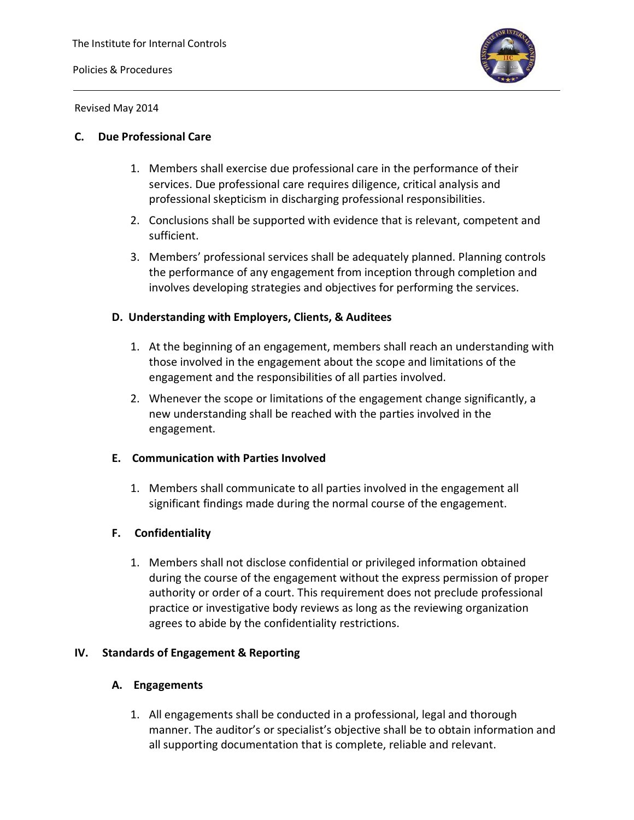Policies & Procedures



Revised May 2014

#### **C. Due Professional Care**

- 1. Members shall exercise due professional care in the performance of their services. Due professional care requires diligence, critical analysis and professional skepticism in discharging professional responsibilities.
- 2. Conclusions shall be supported with evidence that is relevant, competent and sufficient.
- 3. Members' professional services shall be adequately planned. Planning controls the performance of any engagement from inception through completion and involves developing strategies and objectives for performing the services.

#### **D. Understanding with Employers, Clients, & Auditees**

- 1. At the beginning of an engagement, members shall reach an understanding with those involved in the engagement about the scope and limitations of the engagement and the responsibilities of all parties involved.
- 2. Whenever the scope or limitations of the engagement change significantly, a new understanding shall be reached with the parties involved in the engagement.

#### **E. Communication with Parties Involved**

1. Members shall communicate to all parties involved in the engagement all significant findings made during the normal course of the engagement.

#### **F. Confidentiality**

1. Members shall not disclose confidential or privileged information obtained during the course of the engagement without the express permission of proper authority or order of a court. This requirement does not preclude professional practice or investigative body reviews as long as the reviewing organization agrees to abide by the confidentiality restrictions.

### **IV. Standards of Engagement & Reporting**

#### **A. Engagements**

1. All engagements shall be conducted in a professional, legal and thorough manner. The auditor's or specialist's objective shall be to obtain information and all supporting documentation that is complete, reliable and relevant.